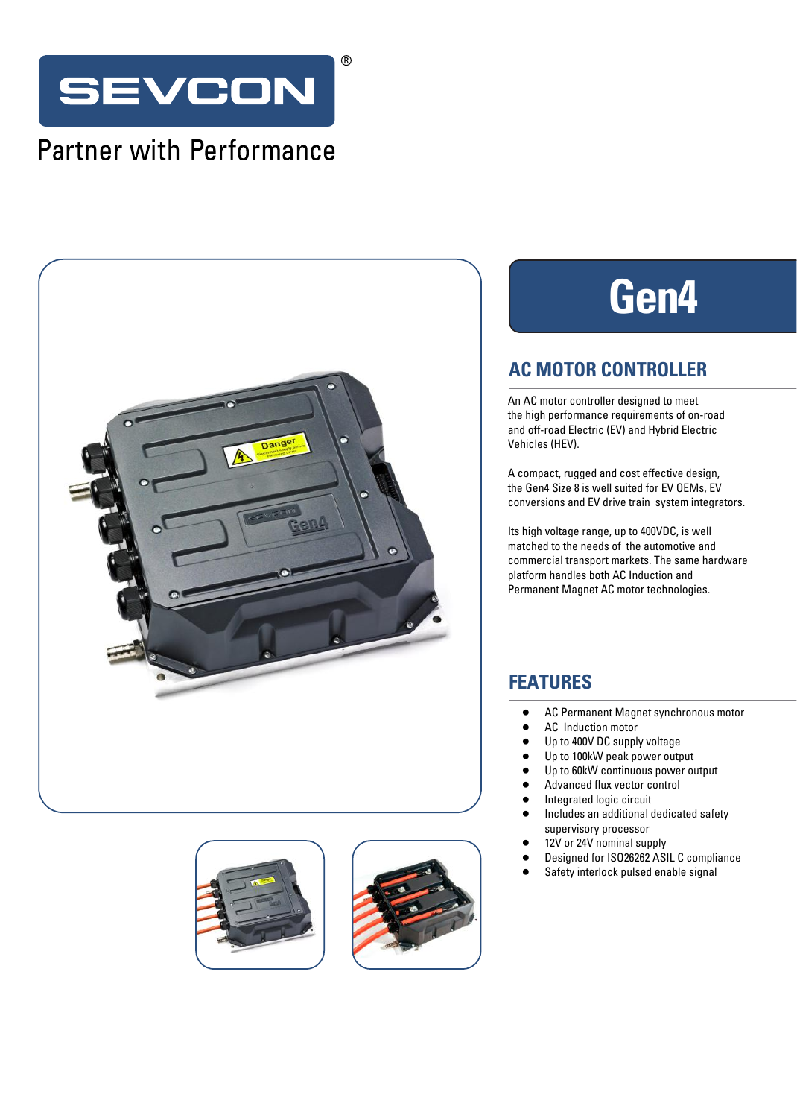

## **Partner with Performance**







# **Gen4**

### **AC MOTOR CONTROLLER**

An AC motor controller designed to meet the high performance requirements of on-road and off-road Electric (EV) and Hybrid Electric Vehicles (HEV).

A compact, rugged and cost effective design, the Gen4 Size 8 is well suited for EV OEMs, EV conversions and EV drive train system integrators.

Its high voltage range, up to 400VDC, is well matched to the needs of the automotive and commercial transport markets. The same hardware platform handles both AC Induction and Permanent Magnet AC motor technologies.

### **FEATURES**

- **•** AC Permanent Magnet synchronous motor
- **•** AC Induction motor
- **•** Up to 400V DC supply voltage
- **•** Up to 100kW peak power output
- **•** Up to 60kW continuous power output
- **•** Advanced flux vector control
- **•** Integrated logic circuit
- **•** Includes an additional dedicated safety supervisory processor
- **•** 12V or 24V nominal supply
- **•** Designed for ISO26262 ASIL C compliance
- **•** Safety interlock pulsed enable signal